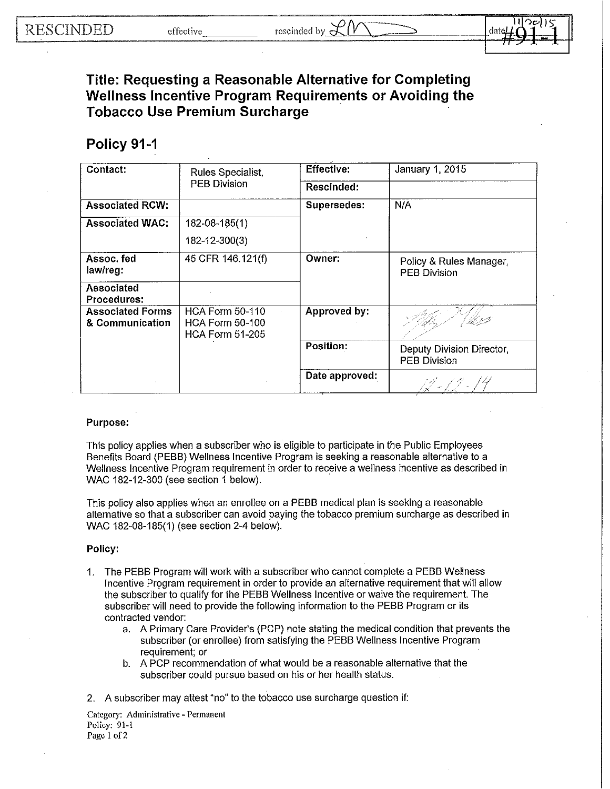dat

**Title: Requesting a Reasonable Alternative for Completing Wellness Incentive Program Requirements or Avoiding the Tobacco Use Premium Surcharge** 

## **Policy 91-1**

| Contact:                                   | Rules Specialist,<br><b>PEB Division</b>                                   | <b>Effective:</b> | January 1, 2015                                  |
|--------------------------------------------|----------------------------------------------------------------------------|-------------------|--------------------------------------------------|
|                                            |                                                                            | Rescinded:        |                                                  |
| <b>Associated RCW:</b>                     |                                                                            | Supersedes:       | N/A                                              |
| <b>Associated WAC:</b>                     | 182-08-185(1)                                                              |                   |                                                  |
|                                            | 182-12-300(3)                                                              |                   |                                                  |
| Assoc fed<br>law/reg:                      | 45 CFR 146.121(f)                                                          | Owner:            | Policy & Rules Manager,<br><b>PEB Division</b>   |
| Associated<br>Procedures:                  |                                                                            |                   |                                                  |
| <b>Associated Forms</b><br>& Communication | <b>HCA Form 50-110</b><br><b>HCA Form 50-100</b><br><b>HCA Form 51-205</b> | Approved by:      |                                                  |
|                                            |                                                                            | <b>Position:</b>  | Deputy Division Director,<br><b>PEB Division</b> |
|                                            |                                                                            | Date approved:    |                                                  |

## **Purpose:**

This policy applies when a subscriber who is eligible to participate in the Public Employees Benefits Board (PEBB} Wellness Incentive Program is seeking a reasonable alternative to a Wellness Incentive Program requirement in order to receive a wellness incentive as described in WAC 182-12-300 (see section 1 below).

This policy also applies when an enrollee on a PEBB medical plan is seeking a reasonable alternative so that a subscriber can avoid paying the tobacco premium surcharge as described in WAC 182-08-185(1) (see section 2-4 below}.

## **Policy:**

- 1. The PEBB Program will work with a subscriber who cannot complete a PEBB Wellness Incentive Program requirement in order to provide an alternative requirement that will allow the subscriber to qualify for the PEBB Wellness Incentive or waive the requirement. The subscriber will need to provide the following information to the PEBB Program or its contracted vendor:
	- a. A Primary Care Provider's (PCP} note stating the medical condition that prevents the subscriber (or enrollee} from satisfying the PEBB Wellness Incentive Program requirement; or
	- b. A PCP recommendation of what would be a reasonable alternative that the subscriber could pursue based on his or her health status.
- 2. A subscriber may attest "no" to the tobacco use surcharge question **if:**

**Category: Administrative - Permanent** Policy: 91-1 Page 1 of 2